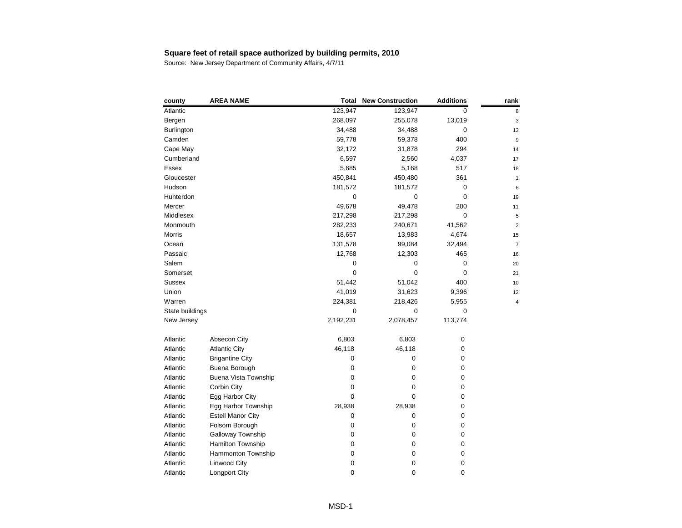| county          | <b>AREA NAME</b>            | <b>Total</b> | <b>New Construction</b> | <b>Additions</b> | rank |
|-----------------|-----------------------------|--------------|-------------------------|------------------|------|
| Atlantic        |                             | 123,947      | 123,947                 | 0                | 8    |
| Bergen          |                             | 268,097      | 255,078                 | 13,019           | З    |
| Burlington      |                             | 34,488       | 34,488                  | 0                | 13   |
| Camden          |                             | 59,778       | 59,378                  | 400              | g    |
| Cape May        |                             | 32,172       | 31,878                  | 294              | 14   |
| Cumberland      |                             | 6,597        | 2,560                   | 4,037            | 17   |
| <b>Essex</b>    |                             | 5,685        | 5,168                   | 517              | 18   |
| Gloucester      |                             | 450,841      | 450,480                 | 361              | 1    |
| Hudson          |                             | 181,572      | 181,572                 | 0                | Е    |
| Hunterdon       |                             | 0            | $\boldsymbol{0}$        | 0                | 19   |
| Mercer          |                             | 49,678       | 49,478                  | 200              | 11   |
| Middlesex       |                             | 217,298      | 217,298                 | 0                | 5    |
| Monmouth        |                             | 282,233      | 240,671                 | 41,562           | 2    |
| <b>Morris</b>   |                             | 18,657       | 13,983                  | 4,674            | 15   |
| Ocean           |                             | 131,578      | 99,084                  | 32,494           | 7    |
| Passaic         |                             | 12,768       | 12,303                  | 465              | 16   |
| Salem           |                             | 0            | 0                       | 0                | 20   |
| Somerset        |                             | 0            | 0                       | 0                | 21   |
| <b>Sussex</b>   |                             | 51,442       | 51,042                  | 400              | 10   |
| Union           |                             | 41,019       | 31,623                  | 9,396            | 12   |
| Warren          |                             | 224,381      | 218,426                 | 5,955            | 4    |
| State buildings |                             | 0            | 0                       | 0                |      |
| New Jersey      |                             | 2,192,231    | 2,078,457               | 113,774          |      |
| Atlantic        | Absecon City                | 6,803        | 6,803                   | $\pmb{0}$        |      |
| Atlantic        | <b>Atlantic City</b>        | 46,118       | 46,118                  | 0                |      |
| Atlantic        | <b>Brigantine City</b>      | 0            | 0                       | 0                |      |
| Atlantic        | Buena Borough               | 0            | 0                       | 0                |      |
| Atlantic        | <b>Buena Vista Township</b> | 0            | 0                       | 0                |      |
| Atlantic        | Corbin City                 | 0            | 0                       | 0                |      |
| Atlantic        | Egg Harbor City             | 0            | 0                       | 0                |      |
| Atlantic        | Egg Harbor Township         | 28,938       | 28,938                  | 0                |      |
| Atlantic        | <b>Estell Manor City</b>    | 0            | 0                       | 0                |      |
| Atlantic        | Folsom Borough              | 0            | 0                       | 0                |      |
| Atlantic        | Galloway Township           | 0            | 0                       | 0                |      |
| Atlantic        | Hamilton Township           | 0            | 0                       | 0                |      |
| Atlantic        | Hammonton Township          | 0            | 0                       | 0                |      |
| Atlantic        | Linwood City                | 0            | 0                       | 0                |      |
| Atlantic        | Longport City               | 0            | 0                       | 0                |      |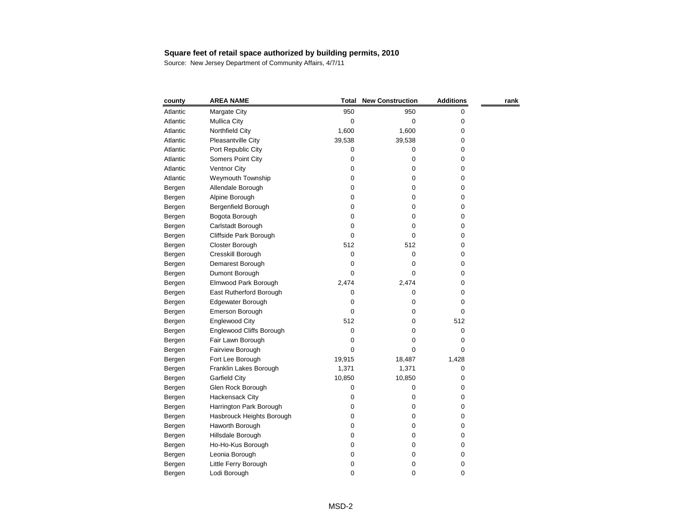| county   | <b>AREA NAME</b>          | <b>Total</b> | <b>New Construction</b> | <b>Additions</b> | rank |
|----------|---------------------------|--------------|-------------------------|------------------|------|
| Atlantic | Margate City              | 950          | 950                     | 0                |      |
| Atlantic | <b>Mullica City</b>       | 0            | 0                       | 0                |      |
| Atlantic | Northfield City           | 1,600        | 1,600                   | 0                |      |
| Atlantic | Pleasantville City        | 39,538       | 39,538                  | 0                |      |
| Atlantic | Port Republic City        | 0            | 0                       | 0                |      |
| Atlantic | Somers Point City         | 0            | 0                       | 0                |      |
| Atlantic | <b>Ventnor City</b>       | 0            | 0                       | 0                |      |
| Atlantic | Weymouth Township         | 0            | 0                       | 0                |      |
| Bergen   | Allendale Borough         | 0            | 0                       | 0                |      |
| Bergen   | Alpine Borough            | 0            | 0                       | 0                |      |
| Bergen   | Bergenfield Borough       | 0            | 0                       | 0                |      |
| Bergen   | Bogota Borough            | 0            | 0                       | 0                |      |
| Bergen   | Carlstadt Borough         | 0            | 0                       | 0                |      |
| Bergen   | Cliffside Park Borough    | 0            | 0                       | 0                |      |
| Bergen   | Closter Borough           | 512          | 512                     | 0                |      |
| Bergen   | Cresskill Borough         | 0            | 0                       | 0                |      |
| Bergen   | Demarest Borough          | 0            | 0                       | 0                |      |
| Bergen   | Dumont Borough            | 0            | 0                       | 0                |      |
| Bergen   | Elmwood Park Borough      | 2,474        | 2,474                   | 0                |      |
| Bergen   | East Rutherford Borough   | 0            | 0                       | 0                |      |
| Bergen   | Edgewater Borough         | 0            | 0                       | 0                |      |
| Bergen   | Emerson Borough           | 0            | 0                       | 0                |      |
| Bergen   | <b>Englewood City</b>     | 512          | 0                       | 512              |      |
| Bergen   | Englewood Cliffs Borough  | 0            | 0                       | 0                |      |
| Bergen   | Fair Lawn Borough         | 0            | 0                       | 0                |      |
| Bergen   | Fairview Borough          | 0            | 0                       | 0                |      |
| Bergen   | Fort Lee Borough          | 19,915       | 18,487                  | 1,428            |      |
| Bergen   | Franklin Lakes Borough    | 1,371        | 1,371                   | 0                |      |
| Bergen   | <b>Garfield City</b>      | 10,850       | 10,850                  | 0                |      |
| Bergen   | Glen Rock Borough         | 0            | 0                       | 0                |      |
| Bergen   | Hackensack City           | 0            | 0                       | 0                |      |
| Bergen   | Harrington Park Borough   | 0            | 0                       | 0                |      |
| Bergen   | Hasbrouck Heights Borough | 0            | 0                       | 0                |      |
| Bergen   | Haworth Borough           | 0            | 0                       | 0                |      |
| Bergen   | Hillsdale Borough         | 0            | 0                       | 0                |      |
| Bergen   | Ho-Ho-Kus Borough         | 0            | 0                       | 0                |      |
| Bergen   | Leonia Borough            | 0            | 0                       | 0                |      |
| Bergen   | Little Ferry Borough      | 0            | 0                       | 0                |      |
| Bergen   | Lodi Borough              | 0            | 0                       | 0                |      |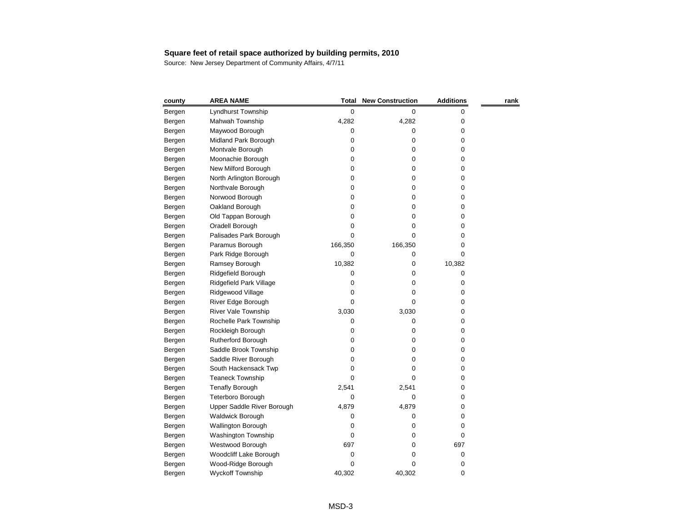| county | <b>AREA NAME</b>           | Total     | <b>New Construction</b> | <b>Additions</b> | rank |
|--------|----------------------------|-----------|-------------------------|------------------|------|
| Bergen | Lyndhurst Township         | $\pmb{0}$ | 0                       | 0                |      |
| Bergen | Mahwah Township            | 4,282     | 4,282                   | 0                |      |
| Bergen | Maywood Borough            | 0         | 0                       | 0                |      |
| Bergen | Midland Park Borough       | 0         | 0                       | 0                |      |
| Bergen | Montvale Borough           | 0         | 0                       | 0                |      |
| Bergen | Moonachie Borough          | 0         | 0                       | 0                |      |
| Bergen | New Milford Borough        | 0         | 0                       | 0                |      |
| Bergen | North Arlington Borough    | 0         | 0                       | 0                |      |
| Bergen | Northvale Borough          | 0         | 0                       | 0                |      |
| Bergen | Norwood Borough            | 0         | 0                       | 0                |      |
| Bergen | Oakland Borough            | 0         | 0                       | 0                |      |
| Bergen | Old Tappan Borough         | 0         | 0                       | 0                |      |
| Bergen | Oradell Borough            | 0         | 0                       | 0                |      |
| Bergen | Palisades Park Borough     | 0         | 0                       | 0                |      |
| Bergen | Paramus Borough            | 166,350   | 166,350                 | 0                |      |
| Bergen | Park Ridge Borough         | 0         | 0                       | 0                |      |
| Bergen | Ramsey Borough             | 10,382    | 0                       | 10,382           |      |
| Bergen | Ridgefield Borough         | 0         | 0                       | 0                |      |
| Bergen | Ridgefield Park Village    | 0         | 0                       | 0                |      |
| Bergen | Ridgewood Village          | 0         | 0                       | 0                |      |
| Bergen | River Edge Borough         | 0         | 0                       | 0                |      |
| Bergen | <b>River Vale Township</b> | 3,030     | 3,030                   | 0                |      |
| Bergen | Rochelle Park Township     | 0         | 0                       | 0                |      |
| Bergen | Rockleigh Borough          | 0         | 0                       | 0                |      |
| Bergen | Rutherford Borough         | 0         | 0                       | 0                |      |
| Bergen | Saddle Brook Township      | 0         | 0                       | 0                |      |
| Bergen | Saddle River Borough       | 0         | 0                       | 0                |      |
| Bergen | South Hackensack Twp       | 0         | O                       | 0                |      |
| Bergen | <b>Teaneck Township</b>    | 0         | 0                       | 0                |      |
| Bergen | <b>Tenafly Borough</b>     | 2,541     | 2,541                   | 0                |      |
| Bergen | Teterboro Borough          | 0         | 0                       | 0                |      |
| Bergen | Upper Saddle River Borough | 4,879     | 4,879                   | 0                |      |
| Bergen | <b>Waldwick Borough</b>    | 0         | 0                       | 0                |      |
| Bergen | <b>Wallington Borough</b>  | 0         | 0                       | 0                |      |
| Bergen | Washington Township        | 0         | Ω                       | 0                |      |
| Bergen | Westwood Borough           | 697       | Ω                       | 697              |      |
| Bergen | Woodcliff Lake Borough     | 0         | 0                       | 0                |      |
| Bergen | Wood-Ridge Borough         | 0         | 0                       | 0                |      |
| Bergen | Wyckoff Township           | 40,302    | 40,302                  | 0                |      |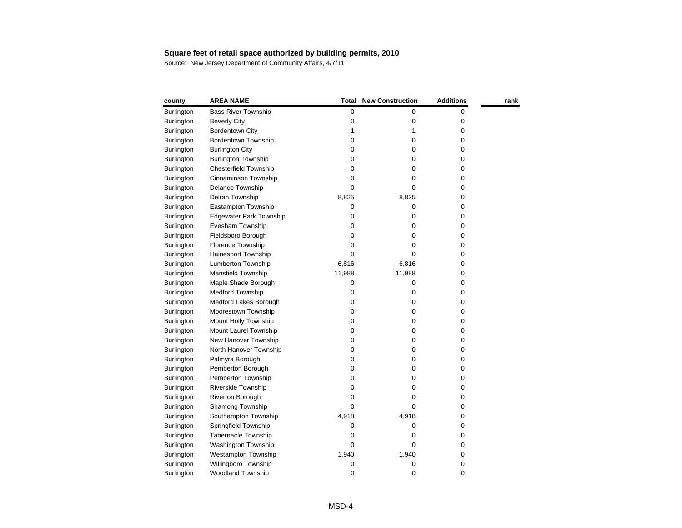| county            | <b>AREA NAME</b>               | Total     | <b>New Construction</b> | <b>Additions</b> | rank |
|-------------------|--------------------------------|-----------|-------------------------|------------------|------|
| Burlington        | <b>Bass River Township</b>     | $\pmb{0}$ | 0                       | 0                |      |
| <b>Burlington</b> | <b>Beverly City</b>            | 0         | 0                       | 0                |      |
| <b>Burlington</b> | <b>Bordentown City</b>         |           |                         | 0                |      |
| <b>Burlington</b> | Bordentown Township            | 0         | 0                       | 0                |      |
| <b>Burlington</b> | <b>Burlington City</b>         | 0         | 0                       | 0                |      |
| Burlington        | <b>Burlington Township</b>     | 0         | 0                       | 0                |      |
| Burlington        | <b>Chesterfield Township</b>   | 0         | 0                       | 0                |      |
| <b>Burlington</b> | Cinnaminson Township           | 0         | 0                       | 0                |      |
| <b>Burlington</b> | Delanco Township               | 0         | 0                       | 0                |      |
| <b>Burlington</b> | Delran Township                | 8,825     | 8,825                   | 0                |      |
| Burlington        | Eastampton Township            | 0         | 0                       | 0                |      |
| Burlington        | <b>Edgewater Park Township</b> | 0         | 0                       | 0                |      |
| <b>Burlington</b> | Evesham Township               | 0         | 0                       | 0                |      |
| <b>Burlington</b> | Fieldsboro Borough             | 0         | 0                       | 0                |      |
| Burlington        | Florence Township              | 0         | O                       | 0                |      |
| <b>Burlington</b> | Hainesport Township            | 0         | 0                       | 0                |      |
| Burlington        | Lumberton Township             | 6,816     | 6,816                   | 0                |      |
| Burlington        | Mansfield Township             | 11,988    | 11,988                  | 0                |      |
| Burlington        | Maple Shade Borough            | 0         | 0                       | 0                |      |
| <b>Burlington</b> | <b>Medford Township</b>        | 0         | 0                       | 0                |      |
| Burlington        | Medford Lakes Borough          | 0         | 0                       | 0                |      |
| <b>Burlington</b> | Moorestown Township            | 0         | 0                       | 0                |      |
| Burlington        | Mount Holly Township           | 0         | 0                       | 0                |      |
| Burlington        | Mount Laurel Township          | 0         | 0                       | 0                |      |
| Burlington        | New Hanover Township           | 0         | 0                       | 0                |      |
| Burlington        | North Hanover Township         | 0         | 0                       | 0                |      |
| <b>Burlington</b> | Palmyra Borough                | 0         | 0                       | 0                |      |
| Burlington        | Pemberton Borough              | 0         | 0                       | 0                |      |
| <b>Burlington</b> | Pemberton Township             | 0         | 0                       | 0                |      |
| <b>Burlington</b> | <b>Riverside Township</b>      | 0         | 0                       | 0                |      |
| <b>Burlington</b> | <b>Riverton Borough</b>        | 0         | 0                       | 0                |      |
| Burlington        | Shamong Township               | 0         | 0                       | 0                |      |
| Burlington        | Southampton Township           | 4,918     | 4,918                   | 0                |      |
| <b>Burlington</b> | Springfield Township           | 0         | 0                       | 0                |      |
| <b>Burlington</b> | <b>Tabernacle Township</b>     | 0         | O                       | 0                |      |
| Burlington        | Washington Township            | 0         | 0                       | 0                |      |
| Burlington        | <b>Westampton Township</b>     | 1,940     | 1,940                   | 0                |      |
| Burlington        | Willingboro Township           | 0         | 0                       | 0                |      |
| Burlington        | Woodland Township              | 0         | 0                       | 0                |      |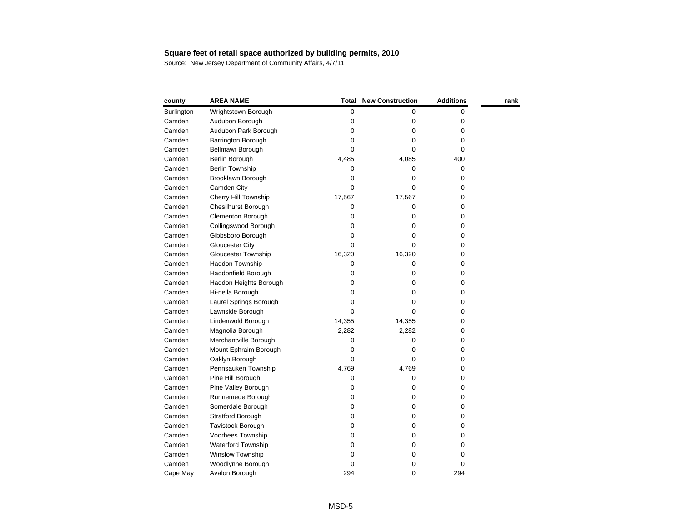| county     | <b>AREA NAME</b>            | <b>Total</b> | <b>New Construction</b> | <b>Additions</b> | rank |
|------------|-----------------------------|--------------|-------------------------|------------------|------|
| Burlington | Wrightstown Borough         | 0            | 0                       | 0                |      |
| Camden     | Audubon Borough             | 0            | 0                       | 0                |      |
| Camden     | Audubon Park Borough        | 0            | 0                       | 0                |      |
| Camden     | Barrington Borough          | 0            | 0                       | 0                |      |
| Camden     | Bellmawr Borough            | 0            | O                       | 0                |      |
| Camden     | Berlin Borough              | 4,485        | 4,085                   | 400              |      |
| Camden     | Berlin Township             | 0            | 0                       | 0                |      |
| Camden     | Brooklawn Borough           | 0            | 0                       | 0                |      |
| Camden     | Camden City                 | 0            | 0                       | 0                |      |
| Camden     | <b>Cherry Hill Township</b> | 17,567       | 17,567                  | 0                |      |
| Camden     | <b>Chesilhurst Borough</b>  | 0            | 0                       | 0                |      |
| Camden     | Clementon Borough           | 0            | 0                       | 0                |      |
| Camden     | Collingswood Borough        | 0            | 0                       | 0                |      |
| Camden     | Gibbsboro Borough           | 0            | 0                       | 0                |      |
| Camden     | <b>Gloucester City</b>      | 0            | 0                       | 0                |      |
| Camden     | <b>Gloucester Township</b>  | 16,320       | 16,320                  | 0                |      |
| Camden     | Haddon Township             | 0            | 0                       | 0                |      |
| Camden     | Haddonfield Borough         | 0            | 0                       | 0                |      |
| Camden     | Haddon Heights Borough      | 0            | 0                       | 0                |      |
| Camden     | Hi-nella Borough            | 0            | 0                       | 0                |      |
| Camden     | Laurel Springs Borough      | 0            | 0                       | 0                |      |
| Camden     | Lawnside Borough            | 0            | 0                       | 0                |      |
| Camden     | Lindenwold Borough          | 14,355       | 14,355                  | 0                |      |
| Camden     | Magnolia Borough            | 2,282        | 2,282                   | 0                |      |
| Camden     | Merchantville Borough       | 0            | 0                       | 0                |      |
| Camden     | Mount Ephraim Borough       | 0            | 0                       | 0                |      |
| Camden     | Oaklyn Borough              | 0            | 0                       | 0                |      |
| Camden     | Pennsauken Township         | 4,769        | 4,769                   | 0                |      |
| Camden     | Pine Hill Borough           | 0            | 0                       | 0                |      |
| Camden     | Pine Valley Borough         | 0            | 0                       | 0                |      |
| Camden     | Runnemede Borough           | 0            | 0                       | 0                |      |
| Camden     | Somerdale Borough           | 0            | 0                       | 0                |      |
| Camden     | Stratford Borough           | 0            | 0                       | 0                |      |
| Camden     | Tavistock Borough           | 0            | 0                       | 0                |      |
| Camden     | Voorhees Township           | 0            | 0                       | 0                |      |
| Camden     | <b>Waterford Township</b>   | 0            | 0                       | 0                |      |
| Camden     | Winslow Township            | 0            | 0                       | 0                |      |
| Camden     | Woodlynne Borough           | 0            | 0                       | 0                |      |
| Cape May   | Avalon Borough              | 294          | 0                       | 294              |      |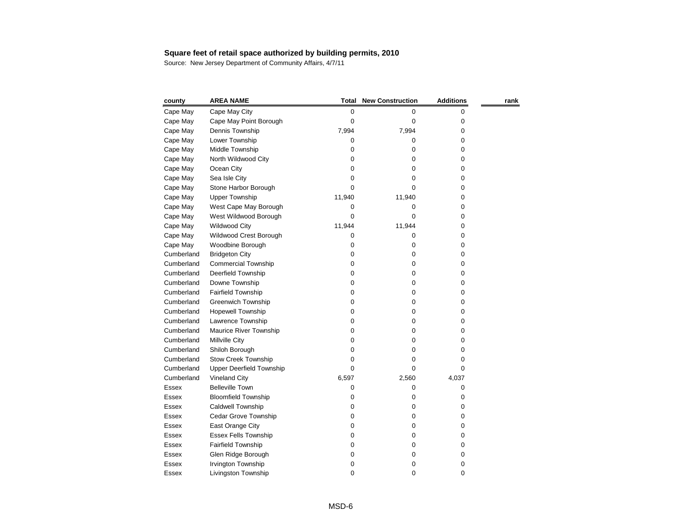| county       | <b>AREA NAME</b>                | <b>Total</b> | <b>New Construction</b> | <b>Additions</b> | rank |
|--------------|---------------------------------|--------------|-------------------------|------------------|------|
| Cape May     | Cape May City                   | 0            | 0                       | 0                |      |
| Cape May     | Cape May Point Borough          | 0            | 0                       | 0                |      |
| Cape May     | Dennis Township                 | 7,994        | 7,994                   | 0                |      |
| Cape May     | Lower Township                  | 0            | 0                       | 0                |      |
| Cape May     | Middle Township                 | 0            | 0                       | 0                |      |
| Cape May     | North Wildwood City             | 0            | 0                       | 0                |      |
| Cape May     | Ocean City                      | 0            | 0                       | 0                |      |
| Cape May     | Sea Isle City                   | 0            | 0                       | 0                |      |
| Cape May     | Stone Harbor Borough            | 0            | 0                       | 0                |      |
| Cape May     | <b>Upper Township</b>           | 11,940       | 11,940                  | 0                |      |
| Cape May     | West Cape May Borough           | 0            | 0                       | 0                |      |
| Cape May     | West Wildwood Borough           | 0            | 0                       | 0                |      |
| Cape May     | <b>Wildwood City</b>            | 11,944       | 11,944                  | 0                |      |
| Cape May     | Wildwood Crest Borough          | 0            | 0                       | 0                |      |
| Cape May     | Woodbine Borough                | 0            | 0                       | 0                |      |
| Cumberland   | <b>Bridgeton City</b>           | 0            | 0                       | 0                |      |
| Cumberland   | <b>Commercial Township</b>      | 0            | 0                       | 0                |      |
| Cumberland   | Deerfield Township              | 0            | 0                       | 0                |      |
| Cumberland   | Downe Township                  | 0            | 0                       | 0                |      |
| Cumberland   | Fairfield Township              | 0            | 0                       | 0                |      |
| Cumberland   | <b>Greenwich Township</b>       | 0            | 0                       | 0                |      |
| Cumberland   | <b>Hopewell Township</b>        | 0            | 0                       | 0                |      |
| Cumberland   | Lawrence Township               | 0            | 0                       | 0                |      |
| Cumberland   | Maurice River Township          | 0            | 0                       | 0                |      |
| Cumberland   | Millville City                  | 0            | 0                       | 0                |      |
| Cumberland   | Shiloh Borough                  | 0            | 0                       | 0                |      |
| Cumberland   | <b>Stow Creek Township</b>      | 0            | 0                       | 0                |      |
| Cumberland   | <b>Upper Deerfield Township</b> | 0            | 0                       | 0                |      |
| Cumberland   | <b>Vineland City</b>            | 6,597        | 2,560                   | 4,037            |      |
| Essex        | <b>Belleville Town</b>          | 0            | 0                       | 0                |      |
| Essex        | <b>Bloomfield Township</b>      | 0            | 0                       | 0                |      |
| <b>Essex</b> | Caldwell Township               | 0            | 0                       | 0                |      |
| <b>Essex</b> | Cedar Grove Township            | 0            | 0                       | 0                |      |
| <b>Essex</b> | East Orange City                | 0            | 0                       | 0                |      |
| <b>Essex</b> | <b>Essex Fells Township</b>     | 0            | 0                       | 0                |      |
| <b>Essex</b> | Fairfield Township              | 0            | 0                       | 0                |      |
| Essex        | Glen Ridge Borough              | 0            | 0                       | 0                |      |
| Essex        | Irvington Township              | 0            | 0                       | 0                |      |
| Essex        | Livingston Township             | 0            | 0                       | 0                |      |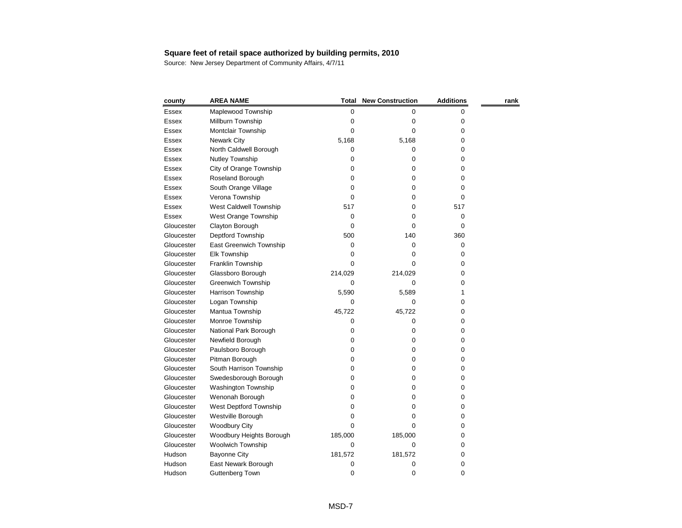| county       | <b>AREA NAME</b>           | Total   | <b>New Construction</b> | <b>Additions</b> | rank |
|--------------|----------------------------|---------|-------------------------|------------------|------|
| Essex        | Maplewood Township         | 0       | 0                       | 0                |      |
| <b>Essex</b> | Millburn Township          | 0       | 0                       | 0                |      |
| <b>Essex</b> | Montclair Township         | 0       | 0                       | 0                |      |
| Essex        | <b>Newark City</b>         | 5,168   | 5,168                   | 0                |      |
| Essex        | North Caldwell Borough     | 0       | 0                       | 0                |      |
| Essex        | Nutley Township            | 0       | 0                       | 0                |      |
| Essex        | City of Orange Township    | 0       | 0                       | 0                |      |
| <b>Essex</b> | Roseland Borough           | 0       | 0                       | 0                |      |
| Essex        | South Orange Village       | 0       | 0                       | 0                |      |
| <b>Essex</b> | Verona Township            | 0       | 0                       | 0                |      |
| <b>Essex</b> | West Caldwell Township     | 517     | 0                       | 517              |      |
| <b>Essex</b> | West Orange Township       | 0       | 0                       | 0                |      |
| Gloucester   | Clayton Borough            | 0       | 0                       | 0                |      |
| Gloucester   | Deptford Township          | 500     | 140                     | 360              |      |
| Gloucester   | East Greenwich Township    | 0       | 0                       | 0                |      |
| Gloucester   | Elk Township               | 0       | 0                       | 0                |      |
| Gloucester   | Franklin Township          | 0       | 0                       | 0                |      |
| Gloucester   | Glassboro Borough          | 214,029 | 214,029                 | 0                |      |
| Gloucester   | <b>Greenwich Township</b>  | 0       | 0                       | 0                |      |
| Gloucester   | Harrison Township          | 5,590   | 5,589                   |                  |      |
| Gloucester   | Logan Township             | 0       | 0                       | 0                |      |
| Gloucester   | Mantua Township            | 45,722  | 45,722                  | 0                |      |
| Gloucester   | Monroe Township            | 0       | 0                       | 0                |      |
| Gloucester   | National Park Borough      | 0       | 0                       | 0                |      |
| Gloucester   | Newfield Borough           | 0       | 0                       | 0                |      |
| Gloucester   | Paulsboro Borough          | 0       | 0                       | 0                |      |
| Gloucester   | Pitman Borough             | 0       | 0                       | 0                |      |
| Gloucester   | South Harrison Township    | 0       | 0                       | 0                |      |
| Gloucester   | Swedesborough Borough      | 0       | 0                       | 0                |      |
| Gloucester   | <b>Washington Township</b> | 0       | 0                       | 0                |      |
| Gloucester   | Wenonah Borough            | 0       | 0                       | 0                |      |
| Gloucester   | West Deptford Township     | O       | 0                       | 0                |      |
| Gloucester   | Westville Borough          | Ω       | 0                       | 0                |      |
| Gloucester   | <b>Woodbury City</b>       | 0       | 0                       | 0                |      |
| Gloucester   | Woodbury Heights Borough   | 185,000 | 185,000                 | 0                |      |
| Gloucester   | Woolwich Township          | 0       | 0                       | 0                |      |
| Hudson       | <b>Bayonne City</b>        | 181,572 | 181,572                 | 0                |      |
| Hudson       | East Newark Borough        | 0       | 0                       | 0                |      |
| Hudson       | <b>Guttenberg Town</b>     | 0       | 0                       | 0                |      |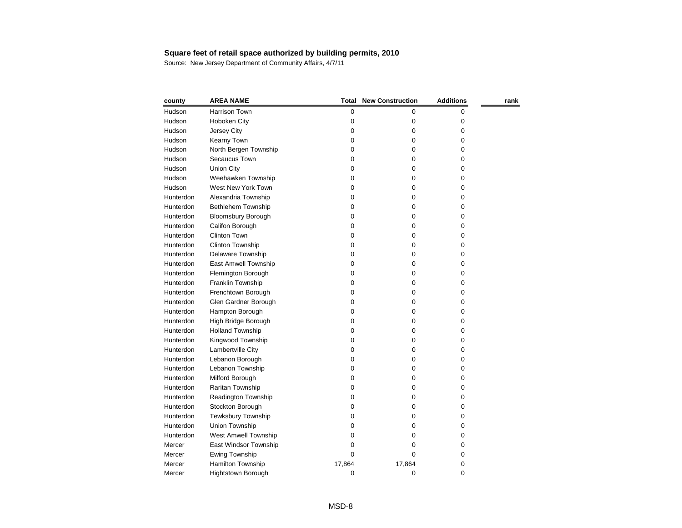| county    | <b>AREA NAME</b>            | <b>Total</b> | <b>New Construction</b> | <b>Additions</b> | rank |
|-----------|-----------------------------|--------------|-------------------------|------------------|------|
| Hudson    | Harrison Town               | 0            | 0                       | 0                |      |
| Hudson    | Hoboken City                | 0            | 0                       | 0                |      |
| Hudson    | Jersey City                 | 0            | 0                       | 0                |      |
| Hudson    | Kearny Town                 | 0            | 0                       | 0                |      |
| Hudson    | North Bergen Township       | 0            | 0                       | 0                |      |
| Hudson    | Secaucus Town               | 0            | 0                       | 0                |      |
| Hudson    | <b>Union City</b>           | 0            | 0                       | 0                |      |
| Hudson    | Weehawken Township          | 0            | 0                       | 0                |      |
| Hudson    | West New York Town          | 0            | 0                       | 0                |      |
| Hunterdon | Alexandria Township         | 0            | 0                       | 0                |      |
| Hunterdon | Bethlehem Township          | 0            | 0                       | 0                |      |
| Hunterdon | <b>Bloomsbury Borough</b>   | 0            | 0                       | 0                |      |
| Hunterdon | Califon Borough             | 0            | 0                       | 0                |      |
| Hunterdon | <b>Clinton Town</b>         | 0            | 0                       | 0                |      |
| Hunterdon | Clinton Township            | 0            | 0                       | 0                |      |
| Hunterdon | Delaware Township           | 0            | 0                       | 0                |      |
| Hunterdon | East Amwell Township        | 0            | 0                       | 0                |      |
| Hunterdon | Flemington Borough          | 0            | 0                       | 0                |      |
| Hunterdon | Franklin Township           | 0            | 0                       | 0                |      |
| Hunterdon | Frenchtown Borough          | 0            | 0                       | 0                |      |
| Hunterdon | Glen Gardner Borough        | 0            | 0                       | 0                |      |
| Hunterdon | Hampton Borough             | 0            | 0                       | 0                |      |
| Hunterdon | High Bridge Borough         | 0            | 0                       | 0                |      |
| Hunterdon | <b>Holland Township</b>     | 0            | 0                       | 0                |      |
| Hunterdon | Kingwood Township           | 0            | 0                       | 0                |      |
| Hunterdon | Lambertville City           | 0            | 0                       | 0                |      |
| Hunterdon | Lebanon Borough             | 0            | 0                       | 0                |      |
| Hunterdon | Lebanon Township            | 0            | 0                       | 0                |      |
| Hunterdon | Milford Borough             | 0            | 0                       | 0                |      |
| Hunterdon | Raritan Township            | 0            | 0                       | 0                |      |
| Hunterdon | <b>Readington Township</b>  | 0            | 0                       | 0                |      |
| Hunterdon | Stockton Borough            | 0            | 0                       | 0                |      |
| Hunterdon | Tewksbury Township          | 0            | 0                       | 0                |      |
| Hunterdon | Union Township              | 0            | 0                       | 0                |      |
| Hunterdon | <b>West Amwell Township</b> | 0            | 0                       | 0                |      |
| Mercer    | East Windsor Township       | 0            | 0                       | 0                |      |
| Mercer    | <b>Ewing Township</b>       | 0            | 0                       | 0                |      |
| Mercer    | Hamilton Township           | 17,864       | 17,864                  | 0                |      |
| Mercer    | Hightstown Borough          | 0            | 0                       | 0                |      |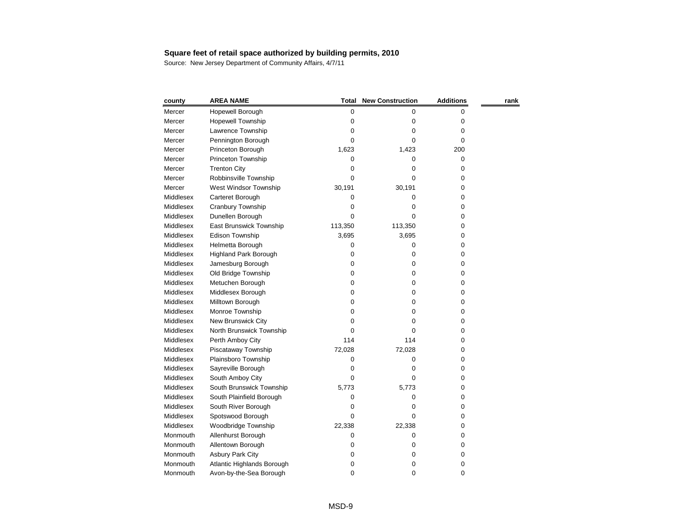| county    | <b>AREA NAME</b>             | Total   | <b>New Construction</b> | <b>Additions</b> | rank |
|-----------|------------------------------|---------|-------------------------|------------------|------|
| Mercer    | Hopewell Borough             | 0       | 0                       | 0                |      |
| Mercer    | <b>Hopewell Township</b>     | 0       | 0                       | 0                |      |
| Mercer    | Lawrence Township            | 0       | 0                       | 0                |      |
| Mercer    | Pennington Borough           | 0       | 0                       | 0                |      |
| Mercer    | Princeton Borough            | 1,623   | 1,423                   | 200              |      |
| Mercer    | Princeton Township           | 0       | 0                       | 0                |      |
| Mercer    | <b>Trenton City</b>          | 0       | 0                       | 0                |      |
| Mercer    | Robbinsville Township        | 0       | 0                       | 0                |      |
| Mercer    | West Windsor Township        | 30,191  | 30,191                  | 0                |      |
| Middlesex | Carteret Borough             | 0       | 0                       | 0                |      |
| Middlesex | Cranbury Township            | 0       | 0                       | 0                |      |
| Middlesex | Dunellen Borough             | 0       | 0                       | 0                |      |
| Middlesex | East Brunswick Township      | 113,350 | 113,350                 | 0                |      |
| Middlesex | Edison Township              | 3,695   | 3,695                   | 0                |      |
| Middlesex | Helmetta Borough             | 0       | 0                       | 0                |      |
| Middlesex | <b>Highland Park Borough</b> | 0       | 0                       | 0                |      |
| Middlesex | Jamesburg Borough            | 0       | 0                       | 0                |      |
| Middlesex | Old Bridge Township          | 0       | 0                       | 0                |      |
| Middlesex | Metuchen Borough             | 0       | 0                       | 0                |      |
| Middlesex | Middlesex Borough            | 0       | 0                       | 0                |      |
| Middlesex | Milltown Borough             | 0       | 0                       | 0                |      |
| Middlesex | Monroe Township              | 0       | 0                       | 0                |      |
| Middlesex | New Brunswick City           | 0       | 0                       | 0                |      |
| Middlesex | North Brunswick Township     | 0       | 0                       | 0                |      |
| Middlesex | Perth Amboy City             | 114     | 114                     | 0                |      |
| Middlesex | Piscataway Township          | 72,028  | 72,028                  | 0                |      |
| Middlesex | Plainsboro Township          | 0       | 0                       | 0                |      |
| Middlesex | Sayreville Borough           | 0       | O                       | 0                |      |
| Middlesex | South Amboy City             | 0       | 0                       | 0                |      |
| Middlesex | South Brunswick Township     | 5,773   | 5,773                   | 0                |      |
| Middlesex | South Plainfield Borough     | 0       | 0                       | 0                |      |
| Middlesex | South River Borough          | 0       | 0                       | 0                |      |
| Middlesex | Spotswood Borough            | 0       | 0                       | 0                |      |
| Middlesex | Woodbridge Township          | 22,338  | 22,338                  | 0                |      |
| Monmouth  | Allenhurst Borough           | 0       | 0                       | 0                |      |
| Monmouth  | Allentown Borough            | 0       | 0                       | 0                |      |
| Monmouth  | <b>Asbury Park City</b>      | 0       | 0                       | 0                |      |
| Monmouth  | Atlantic Highlands Borough   | 0       | 0                       | 0                |      |
| Monmouth  | Avon-by-the-Sea Borough      | 0       | 0                       | 0                |      |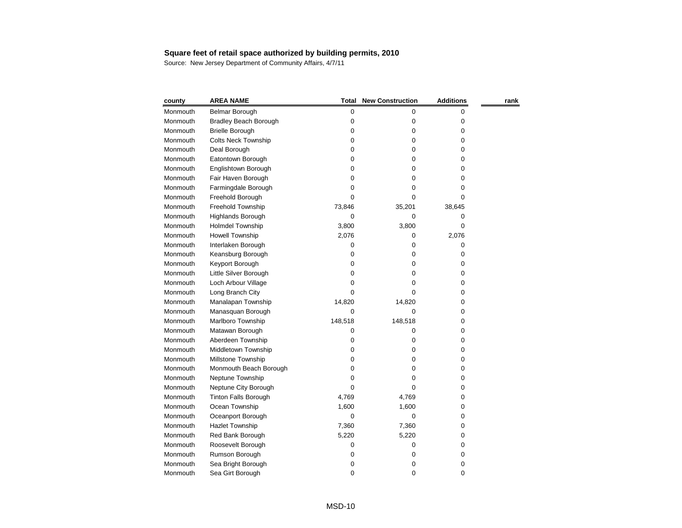| county   | <b>AREA NAME</b>             | <b>Total</b> | <b>New Construction</b> | <b>Additions</b> | rank |
|----------|------------------------------|--------------|-------------------------|------------------|------|
| Monmouth | Belmar Borough               | 0            | 0                       | 0                |      |
| Monmouth | <b>Bradley Beach Borough</b> | 0            | 0                       | 0                |      |
| Monmouth | <b>Brielle Borough</b>       | 0            | 0                       | 0                |      |
| Monmouth | <b>Colts Neck Township</b>   | 0            | 0                       | 0                |      |
| Monmouth | Deal Borough                 | 0            | 0                       | 0                |      |
| Monmouth | Eatontown Borough            | 0            | 0                       | 0                |      |
| Monmouth | Englishtown Borough          | 0            | 0                       | 0                |      |
| Monmouth | Fair Haven Borough           | 0            | 0                       | 0                |      |
| Monmouth | Farmingdale Borough          | 0            | Ω                       | 0                |      |
| Monmouth | Freehold Borough             | 0            | 0                       | 0                |      |
| Monmouth | Freehold Township            | 73,846       | 35,201                  | 38,645           |      |
| Monmouth | Highlands Borough            | 0            | 0                       | 0                |      |
| Monmouth | Holmdel Township             | 3,800        | 3,800                   | 0                |      |
| Monmouth | Howell Township              | 2,076        | 0                       | 2,076            |      |
| Monmouth | Interlaken Borough           | 0            | 0                       | 0                |      |
| Monmouth | Keansburg Borough            | 0            | 0                       | 0                |      |
| Monmouth | Keyport Borough              | 0            | 0                       | 0                |      |
| Monmouth | Little Silver Borough        | 0            | 0                       | 0                |      |
| Monmouth | Loch Arbour Village          | 0            | 0                       | 0                |      |
| Monmouth | Long Branch City             | 0            | 0                       | 0                |      |
| Monmouth | Manalapan Township           | 14,820       | 14,820                  | 0                |      |
| Monmouth | Manasquan Borough            | 0            | 0                       | 0                |      |
| Monmouth | Marlboro Township            | 148,518      | 148,518                 | 0                |      |
| Monmouth | Matawan Borough              | 0            | 0                       | 0                |      |
| Monmouth | Aberdeen Township            | 0            | 0                       | 0                |      |
| Monmouth | Middletown Township          | 0            | 0                       | 0                |      |
| Monmouth | Millstone Township           | 0            | 0                       | 0                |      |
| Monmouth | Monmouth Beach Borough       | 0            | 0                       | 0                |      |
| Monmouth | Neptune Township             | 0            | 0                       | 0                |      |
| Monmouth | Neptune City Borough         | 0            | 0                       | 0                |      |
| Monmouth | <b>Tinton Falls Borough</b>  | 4,769        | 4,769                   | 0                |      |
| Monmouth | Ocean Township               | 1,600        | 1,600                   | 0                |      |
| Monmouth | Oceanport Borough            | 0            | 0                       | 0                |      |
| Monmouth | Hazlet Township              | 7,360        | 7,360                   | 0                |      |
| Monmouth | Red Bank Borough             | 5,220        | 5,220                   | 0                |      |
| Monmouth | Roosevelt Borough            | 0            | 0                       | 0                |      |
| Monmouth | Rumson Borough               | 0            | 0                       | 0                |      |
| Monmouth | Sea Bright Borough           | 0            | 0                       | 0                |      |
| Monmouth | Sea Girt Borough             | 0            | 0                       | 0                |      |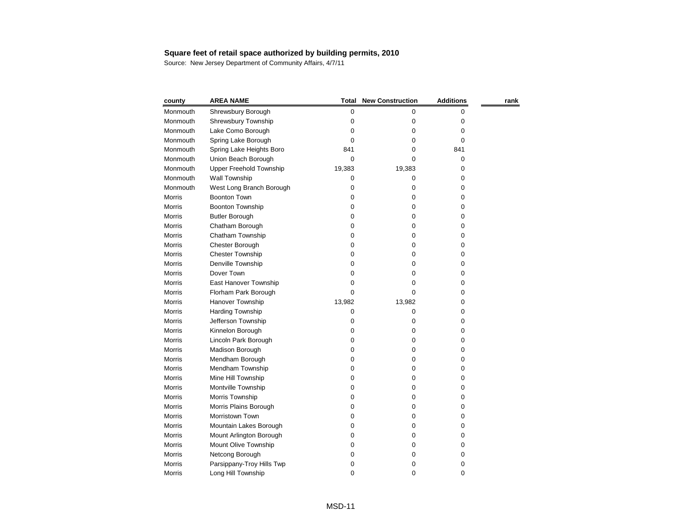| county        | <b>AREA NAME</b>          | Total  | <b>New Construction</b> | <b>Additions</b> | rank |
|---------------|---------------------------|--------|-------------------------|------------------|------|
| Monmouth      | Shrewsbury Borough        | 0      | 0                       | 0                |      |
| Monmouth      | Shrewsbury Township       | 0      | 0                       | 0                |      |
| Monmouth      | Lake Como Borough         | 0      | 0                       | 0                |      |
| Monmouth      | Spring Lake Borough       | 0      | 0                       | 0                |      |
| Monmouth      | Spring Lake Heights Boro  | 841    | 0                       | 841              |      |
| Monmouth      | Union Beach Borough       | 0      | 0                       | 0                |      |
| Monmouth      | Upper Freehold Township   | 19,383 | 19,383                  | 0                |      |
| Monmouth      | <b>Wall Township</b>      | 0      | 0                       | 0                |      |
| Monmouth      | West Long Branch Borough  | 0      | 0                       | 0                |      |
| <b>Morris</b> | <b>Boonton Town</b>       | 0      | 0                       | 0                |      |
| Morris        | Boonton Township          | 0      | 0                       | 0                |      |
| Morris        | <b>Butler Borough</b>     | 0      | 0                       | 0                |      |
| Morris        | Chatham Borough           | 0      | 0                       | 0                |      |
| Morris        | Chatham Township          | 0      | 0                       | 0                |      |
| Morris        | Chester Borough           | 0      | 0                       | 0                |      |
| Morris        | <b>Chester Township</b>   | 0      | 0                       | 0                |      |
| Morris        | Denville Township         | 0      | 0                       | 0                |      |
| <b>Morris</b> | Dover Town                | 0      | 0                       | 0                |      |
| Morris        | East Hanover Township     | 0      | 0                       | 0                |      |
| <b>Morris</b> | Florham Park Borough      | 0      | 0                       | 0                |      |
| Morris        | Hanover Township          | 13,982 | 13,982                  | 0                |      |
| Morris        | Harding Township          | 0      | 0                       | 0                |      |
| Morris        | Jefferson Township        | 0      | 0                       | 0                |      |
| Morris        | Kinnelon Borough          | 0      | 0                       | 0                |      |
| Morris        | Lincoln Park Borough      | 0      | 0                       | 0                |      |
| Morris        | Madison Borough           | 0      | 0                       | 0                |      |
| Morris        | Mendham Borough           | 0      | 0                       | 0                |      |
| Morris        | Mendham Township          | 0      | 0                       | 0                |      |
| <b>Morris</b> | Mine Hill Township        | 0      | 0                       | 0                |      |
| Morris        | Montville Township        | 0      | 0                       | 0                |      |
| <b>Morris</b> | Morris Township           | 0      | 0                       | 0                |      |
| <b>Morris</b> | Morris Plains Borough     | 0      | 0                       | 0                |      |
| Morris        | Morristown Town           | 0      | 0                       | 0                |      |
| Morris        | Mountain Lakes Borough    | 0      | 0                       | 0                |      |
| Morris        | Mount Arlington Borough   | 0      | 0                       | 0                |      |
| <b>Morris</b> | Mount Olive Township      | O      | 0                       | 0                |      |
| Morris        | Netcong Borough           | 0      | 0                       | 0                |      |
| Morris        | Parsippany-Troy Hills Twp | 0      | 0                       | 0                |      |
| Morris        | Long Hill Township        | 0      | 0                       | 0                |      |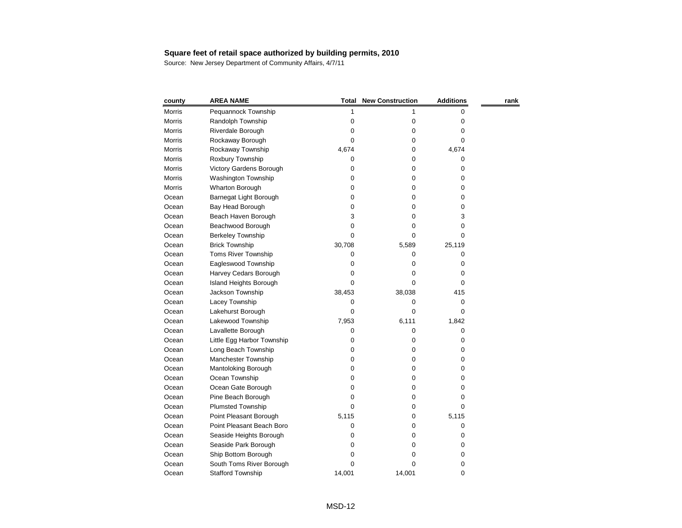| county        | <b>AREA NAME</b>           | <b>Total</b> | <b>New Construction</b> | <b>Additions</b> | rank |
|---------------|----------------------------|--------------|-------------------------|------------------|------|
| <b>Morris</b> | Pequannock Township        | 1            |                         | 0                |      |
| <b>Morris</b> | Randolph Township          | 0            | 0                       | 0                |      |
| Morris        | Riverdale Borough          | 0            | 0                       | 0                |      |
| Morris        | Rockaway Borough           | 0            | 0                       | 0                |      |
| <b>Morris</b> | Rockaway Township          | 4,674        | 0                       | 4,674            |      |
| <b>Morris</b> | Roxbury Township           | 0            | 0                       | 0                |      |
| <b>Morris</b> | Victory Gardens Borough    | 0            | 0                       | 0                |      |
| <b>Morris</b> | Washington Township        | 0            | 0                       | 0                |      |
| Morris        | Wharton Borough            | 0            | 0                       | 0                |      |
| Ocean         | Barnegat Light Borough     | 0            | 0                       | 0                |      |
| Ocean         | Bay Head Borough           | 0            | 0                       | 0                |      |
| Ocean         | Beach Haven Borough        | 3            | 0                       | 3                |      |
| Ocean         | Beachwood Borough          | 0            | 0                       | 0                |      |
| Ocean         | <b>Berkeley Township</b>   | 0            | 0                       | 0                |      |
| Ocean         | <b>Brick Township</b>      | 30,708       | 5,589                   | 25,119           |      |
| Ocean         | <b>Toms River Township</b> | 0            | 0                       | 0                |      |
| Ocean         | Eagleswood Township        | 0            | 0                       | 0                |      |
| Ocean         | Harvey Cedars Borough      | 0            | 0                       | 0                |      |
| Ocean         | Island Heights Borough     | 0            | 0                       | 0                |      |
| Ocean         | Jackson Township           | 38,453       | 38,038                  | 415              |      |
| Ocean         | Lacey Township             | 0            | 0                       | 0                |      |
| Ocean         | Lakehurst Borough          | 0            | 0                       | 0                |      |
| Ocean         | Lakewood Township          | 7,953        | 6,111                   | 1,842            |      |
| Ocean         | Lavallette Borough         | 0            | 0                       | 0                |      |
| Ocean         | Little Egg Harbor Township | 0            | 0                       | 0                |      |
| Ocean         | Long Beach Township        | 0            | 0                       | 0                |      |
| Ocean         | Manchester Township        | 0            | 0                       | 0                |      |
| Ocean         | Mantoloking Borough        | 0            | 0                       | 0                |      |
| Ocean         | Ocean Township             | 0            | 0                       | 0                |      |
| Ocean         | Ocean Gate Borough         | 0            | 0                       | 0                |      |
| Ocean         | Pine Beach Borough         | 0            | 0                       | 0                |      |
| Ocean         | <b>Plumsted Township</b>   | 0            | 0                       | 0                |      |
| Ocean         | Point Pleasant Borough     | 5,115        | 0                       | 5,115            |      |
| Ocean         | Point Pleasant Beach Boro  | 0            | 0                       | 0                |      |
| Ocean         | Seaside Heights Borough    | O            | 0                       | 0                |      |
| Ocean         | Seaside Park Borough       | 0            | 0                       | 0                |      |
| Ocean         | Ship Bottom Borough        | O            | 0                       | 0                |      |
| Ocean         | South Toms River Borough   | 0            | 0                       | 0                |      |
| Ocean         | <b>Stafford Township</b>   | 14,001       | 14,001                  | 0                |      |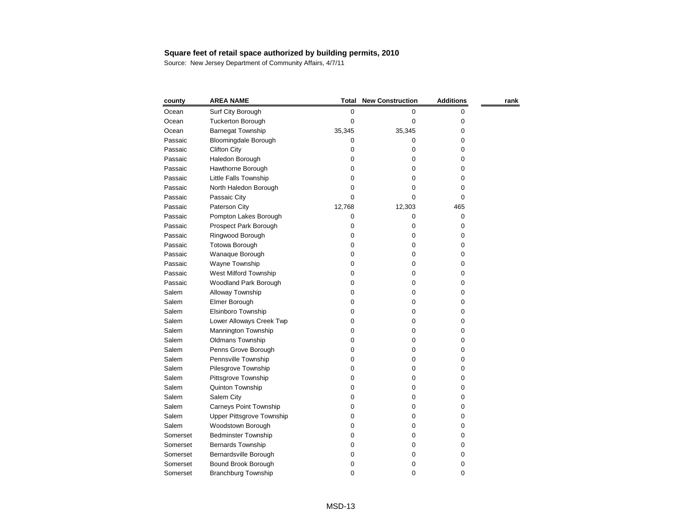| county   | <b>AREA NAME</b>              |        | <b>Total New Construction</b> | <b>Additions</b> | rank |
|----------|-------------------------------|--------|-------------------------------|------------------|------|
| Ocean    | Surf City Borough             | 0      | 0                             | 0                |      |
| Ocean    | <b>Tuckerton Borough</b>      | 0      | 0                             | 0                |      |
| Ocean    | <b>Barnegat Township</b>      | 35,345 | 35,345                        | 0                |      |
| Passaic  | Bloomingdale Borough          | 0      | 0                             | 0                |      |
| Passaic  | <b>Clifton City</b>           | 0      | 0                             | 0                |      |
| Passaic  | Haledon Borough               | 0      | 0                             | 0                |      |
| Passaic  | Hawthorne Borough             | 0      | 0                             | 0                |      |
| Passaic  | Little Falls Township         | 0      | 0                             | 0                |      |
| Passaic  | North Haledon Borough         | 0      | 0                             | 0                |      |
| Passaic  | Passaic City                  | 0      | 0                             | 0                |      |
| Passaic  | Paterson City                 | 12,768 | 12,303                        | 465              |      |
| Passaic  | Pompton Lakes Borough         | 0      | 0                             | 0                |      |
| Passaic  | Prospect Park Borough         | 0      | 0                             | 0                |      |
| Passaic  | Ringwood Borough              | 0      | 0                             | 0                |      |
| Passaic  | Totowa Borough                | 0      | 0                             | 0                |      |
| Passaic  | Wanaque Borough               | 0      | 0                             | 0                |      |
| Passaic  | Wayne Township                | 0      | 0                             | 0                |      |
| Passaic  | West Milford Township         | 0      | 0                             | 0                |      |
| Passaic  | Woodland Park Borough         | 0      | 0                             | 0                |      |
| Salem    | Alloway Township              | 0      | 0                             | 0                |      |
| Salem    | Elmer Borough                 | 0      | 0                             | 0                |      |
| Salem    | Elsinboro Township            | 0      | 0                             | 0                |      |
| Salem    | Lower Alloways Creek Twp      | 0      | 0                             | 0                |      |
| Salem    | Mannington Township           | 0      | 0                             | 0                |      |
| Salem    | Oldmans Township              | 0      | 0                             | 0                |      |
| Salem    | Penns Grove Borough           | 0      | 0                             | 0                |      |
| Salem    | Pennsville Township           | 0      | 0                             | 0                |      |
| Salem    | Pilesgrove Township           | 0      | 0                             | 0                |      |
| Salem    | Pittsgrove Township           | 0      | 0                             | 0                |      |
| Salem    | Quinton Township              | 0      | 0                             | 0                |      |
| Salem    | Salem City                    | 0      | 0                             | 0                |      |
| Salem    | <b>Carneys Point Township</b> | 0      | 0                             | 0                |      |
| Salem    | Upper Pittsgrove Township     | 0      | 0                             | 0                |      |
| Salem    | Woodstown Borough             | 0      | 0                             | 0                |      |
| Somerset | <b>Bedminster Township</b>    | 0      | 0                             | 0                |      |
| Somerset | Bernards Township             | 0      | 0                             | 0                |      |
| Somerset | Bernardsville Borough         | 0      | 0                             | 0                |      |
| Somerset | Bound Brook Borough           | 0      | 0                             | 0                |      |
| Somerset | <b>Branchburg Township</b>    | 0      | 0                             | 0                |      |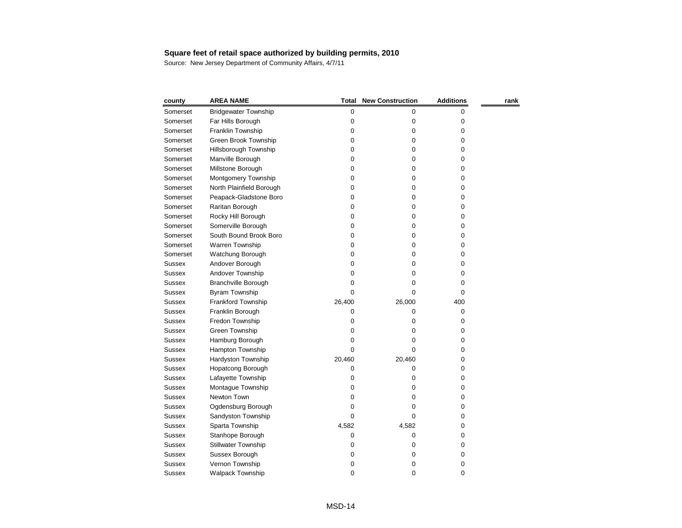| county        | <b>AREA NAME</b>            | <b>Total</b> | <b>New Construction</b> | <b>Additions</b> | rank |
|---------------|-----------------------------|--------------|-------------------------|------------------|------|
| Somerset      | <b>Bridgewater Township</b> | 0            | 0                       | 0                |      |
| Somerset      | Far Hills Borough           | 0            | 0                       | 0                |      |
| Somerset      | Franklin Township           | 0            | 0                       | 0                |      |
| Somerset      | Green Brook Township        | 0            | 0                       | 0                |      |
| Somerset      | Hillsborough Township       | 0            | 0                       | 0                |      |
| Somerset      | Manville Borough            | 0            | 0                       | 0                |      |
| Somerset      | Millstone Borough           | 0            | 0                       | 0                |      |
| Somerset      | Montgomery Township         | 0            | 0                       | 0                |      |
| Somerset      | North Plainfield Borough    | 0            | 0                       | 0                |      |
| Somerset      | Peapack-Gladstone Boro      | 0            | 0                       | 0                |      |
| Somerset      | Raritan Borough             | 0            | 0                       | 0                |      |
| Somerset      | Rocky Hill Borough          | 0            | 0                       | 0                |      |
| Somerset      | Somerville Borough          | 0            | 0                       | 0                |      |
| Somerset      | South Bound Brook Boro      | 0            | 0                       | 0                |      |
| Somerset      | Warren Township             | 0            | 0                       | 0                |      |
| Somerset      | Watchung Borough            | 0            | 0                       | 0                |      |
| <b>Sussex</b> | Andover Borough             | 0            | 0                       | 0                |      |
| <b>Sussex</b> | Andover Township            | 0            | 0                       | 0                |      |
| <b>Sussex</b> | <b>Branchville Borough</b>  | 0            | 0                       | 0                |      |
| <b>Sussex</b> | Byram Township              | 0            | 0                       | 0                |      |
| <b>Sussex</b> | Frankford Township          | 26,400       | 26,000                  | 400              |      |
| <b>Sussex</b> | Franklin Borough            | 0            | 0                       | 0                |      |
| <b>Sussex</b> | Fredon Township             | 0            | 0                       | 0                |      |
| <b>Sussex</b> | Green Township              | 0            | 0                       | 0                |      |
| <b>Sussex</b> | Hamburg Borough             | 0            | 0                       | 0                |      |
| <b>Sussex</b> | Hampton Township            | 0            | 0                       | 0                |      |
| <b>Sussex</b> | Hardyston Township          | 20,460       | 20,460                  | 0                |      |
| <b>Sussex</b> | <b>Hopatcong Borough</b>    | 0            | 0                       | 0                |      |
| <b>Sussex</b> | Lafayette Township          | 0            | 0                       | 0                |      |
| <b>Sussex</b> | Montague Township           | 0            | 0                       | 0                |      |
| <b>Sussex</b> | Newton Town                 | 0            | 0                       | 0                |      |
| <b>Sussex</b> | Ogdensburg Borough          | 0            | 0                       | 0                |      |
| <b>Sussex</b> | Sandyston Township          | 0            | 0                       | 0                |      |
| <b>Sussex</b> | Sparta Township             | 4,582        | 4,582                   | 0                |      |
| <b>Sussex</b> | Stanhope Borough            | 0            | 0                       | 0                |      |
| <b>Sussex</b> | <b>Stillwater Township</b>  | 0            | 0                       | 0                |      |
| <b>Sussex</b> | Sussex Borough              | 0            | 0                       | 0                |      |
| <b>Sussex</b> | Vernon Township             | 0            | 0                       | 0                |      |
| <b>Sussex</b> | Walpack Township            | 0            | 0                       | $\pmb{0}$        |      |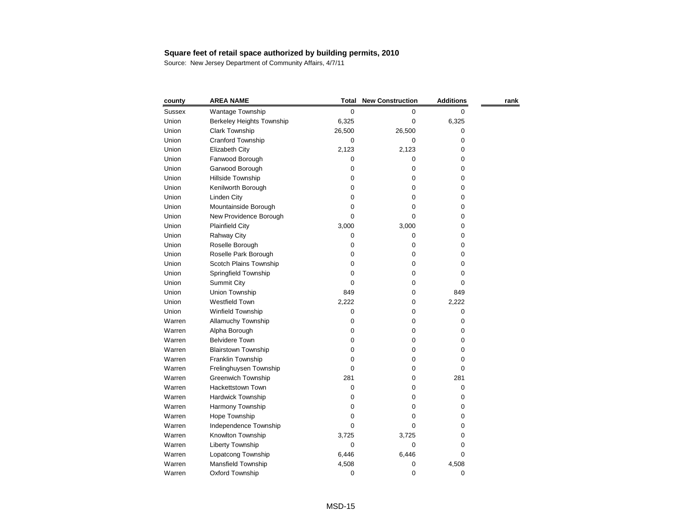| county        | <b>AREA NAME</b>                 | <b>Total</b> | <b>New Construction</b> | <b>Additions</b> | rank |
|---------------|----------------------------------|--------------|-------------------------|------------------|------|
| <b>Sussex</b> | Wantage Township                 | $\mathbf 0$  | 0                       | 0                |      |
| Union         | <b>Berkeley Heights Township</b> | 6,325        | 0                       | 6,325            |      |
| Union         | <b>Clark Township</b>            | 26,500       | 26,500                  | 0                |      |
| Union         | Cranford Township                | 0            | 0                       | 0                |      |
| Union         | Elizabeth City                   | 2,123        | 2,123                   | 0                |      |
| Union         | Fanwood Borough                  | 0            | 0                       | 0                |      |
| Union         | Garwood Borough                  | 0            | 0                       | 0                |      |
| Union         | Hillside Township                | 0            | 0                       | 0                |      |
| Union         | Kenilworth Borough               | 0            | 0                       | 0                |      |
| Union         | <b>Linden City</b>               | 0            | 0                       | 0                |      |
| Union         | Mountainside Borough             | 0            | 0                       | 0                |      |
| Union         | New Providence Borough           | 0            | 0                       | 0                |      |
| Union         | <b>Plainfield City</b>           | 3,000        | 3,000                   | 0                |      |
| Union         | <b>Rahway City</b>               | 0            | 0                       | 0                |      |
| Union         | Roselle Borough                  | 0            | 0                       | 0                |      |
| Union         | Roselle Park Borough             | 0            | 0                       | 0                |      |
| Union         | Scotch Plains Township           | 0            | 0                       | 0                |      |
| Union         | Springfield Township             | 0            | 0                       | 0                |      |
| Union         | <b>Summit City</b>               | 0            | 0                       | 0                |      |
| Union         | Union Township                   | 849          | 0                       | 849              |      |
| Union         | Westfield Town                   | 2,222        | 0                       | 2,222            |      |
| Union         | Winfield Township                | 0            | 0                       | 0                |      |
| Warren        | <b>Allamuchy Township</b>        | 0            | 0                       | 0                |      |
| Warren        | Alpha Borough                    | 0            | 0                       | 0                |      |
| Warren        | <b>Belvidere Town</b>            | 0            | 0                       | 0                |      |
| Warren        | <b>Blairstown Township</b>       | 0            | 0                       | 0                |      |
| Warren        | Franklin Township                | 0            | 0                       | 0                |      |
| Warren        | Frelinghuysen Township           | 0            | 0                       | 0                |      |
| Warren        | Greenwich Township               | 281          | 0                       | 281              |      |
| Warren        | <b>Hackettstown Town</b>         | 0            | 0                       | 0                |      |
| Warren        | <b>Hardwick Township</b>         | 0            | 0                       | 0                |      |
| Warren        | Harmony Township                 | 0            | 0                       | 0                |      |
| Warren        | Hope Township                    | 0            | 0                       | 0                |      |
| Warren        | Independence Township            | 0            | 0                       | 0                |      |
| Warren        | Knowlton Township                | 3,725        | 3,725                   | 0                |      |
| Warren        | Liberty Township                 | 0            | 0                       | 0                |      |
| Warren        | Lopatcong Township               | 6,446        | 6,446                   | 0                |      |
| Warren        | Mansfield Township               | 4,508        | 0                       | 4,508            |      |
| Warren        | Oxford Township                  | $\pmb{0}$    | 0                       | $\pmb{0}$        |      |